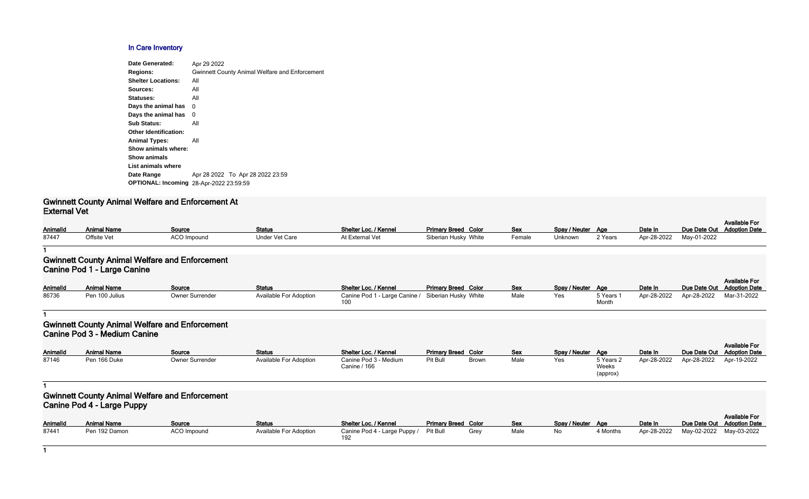#### **In Care Inventory**

| Date Generated:                                | Apr 29 2022                                           |
|------------------------------------------------|-------------------------------------------------------|
| <b>Regions:</b>                                | <b>Gwinnett County Animal Welfare and Enforcement</b> |
| <b>Shelter Locations:</b>                      | All                                                   |
| Sources:                                       | All                                                   |
| Statuses:                                      | All                                                   |
| Days the animal has                            | 0                                                     |
| Days the animal has                            | 0                                                     |
| <b>Sub Status:</b>                             | All                                                   |
| <b>Other Identification:</b>                   |                                                       |
| <b>Animal Types:</b>                           | All                                                   |
| Show animals where:                            |                                                       |
| <b>Show animals</b>                            |                                                       |
| List animals where                             |                                                       |
| Date Range                                     | Apr 28 2022 To Apr 28 2022 23:59                      |
| <b>OPTIONAL: Incoming 28-Apr-2022 23:59:59</b> |                                                       |
|                                                |                                                       |

#### **Gwinnett County Animal Welfare and Enforcement At External Vet**

| Spay / Neuter | Age     | Date In     |             | Available For<br>Due Date Out Adoption Date |
|---------------|---------|-------------|-------------|---------------------------------------------|
| Unknown       | 2 Years | Apr-28-2022 | May-01-2022 |                                             |

| Animalld | <b>Animal Name</b> | Source      | <b>Status</b>  | <b>Shelter Loc. / Kennel</b> | <b>Primary Breed Color</b> | Sex    | Spay / Neuter Age |         | Date In                 | Due Date Out |
|----------|--------------------|-------------|----------------|------------------------------|----------------------------|--------|-------------------|---------|-------------------------|--------------|
| 87447    | Offsite Vet        | ACO Impound | Under Vet Care | At External Vet              | Siberian Husky White       | Female | Unknown           | 2 Years | Apr-28-2022 May-01-2022 |              |

#### **1**

### **Gwinnett County Animal Welfare and Enforcement Canine Pod 1 - Large Canine**

| <b>AnimalId</b> | <b>Animal Name</b> | Source          | <b>Status</b>                 | Shelter Loc. / Kennel                              | <b>Primary Breed Color</b> | <b>Sex</b> | Spay / Neuter Age |           | Date In     | Due Date Out |
|-----------------|--------------------|-----------------|-------------------------------|----------------------------------------------------|----------------------------|------------|-------------------|-----------|-------------|--------------|
| 86736           | Pen 100 Julius     | Owner Surrender | <b>Available For Adoption</b> | Canine Pod 1 - Large Canine / Siberian Husky White |                            | Male       | Yes               | 5 Years 1 | Apr-28-2022 | Apr-28-2022  |
|                 |                    |                 |                               |                                                    |                            |            |                   | Month     |             |              |

| Spay / Neuter | Aae                | Date In     | Due Date Out | <b>Available For</b><br><b>Adoption Date</b> |
|---------------|--------------------|-------------|--------------|----------------------------------------------|
| Yes           | 5 Years 1<br>Month | Apr-28-2022 | Apr-28-2022  | Mar-31-2022                                  |

#### **1**

#### **Gwinnett County Animal Welfare and Enforcement Canine Pod 3 - Medium Canine**

|                 |                    |                        |                               |                                       |                            |              |            |                   |                                |             |                            | <b>Available For</b> |
|-----------------|--------------------|------------------------|-------------------------------|---------------------------------------|----------------------------|--------------|------------|-------------------|--------------------------------|-------------|----------------------------|----------------------|
| <b>AnimalId</b> | <b>Animal Name</b> | Source                 | <b>Status</b>                 | Shelter Loc. / Kennel                 | <b>Primary Breed Color</b> |              | <b>Sex</b> | Spay / Neuter Age |                                | Date In     | Due Date Out Adoption Date |                      |
| 87146           | Pen 166 Duke       | <b>Owner Surrender</b> | <b>Available For Adoption</b> | Canine Pod 3 - Medium<br>Canine / 166 | Pit Bull                   | <b>Brown</b> | Male       | Yes               | 5 Years 2<br>Weeks<br>(approx) | Apr-28-2022 | Apr-28-2022 Apr-19-2022    |                      |

**1**

## **Gwinnett County Animal Welfare and Enforcement Canine Pod 4 - Large Puppy**

| <b>AnimalId</b> | <b>Animal Name</b> | <b>Source</b> | <b>Status</b>          | Shelter Loc. / Kennel                 | <b>Primary Breed Color</b> |      | <u>Sex</u> | Spay / Neuter Age |          | Date In     | Due Date Out |
|-----------------|--------------------|---------------|------------------------|---------------------------------------|----------------------------|------|------------|-------------------|----------|-------------|--------------|
| 87441           | Pen 192 Damon      | ACO Impound   | Available For Adoption | Canine Pod 4 - Large Puppy / Pit Bull |                            | Grev | Male       | ΝO                | 4 Months | Apr-28-2022 | May-02-2022  |

| <b>Primary Breed Color</b> |      | Sex  | Spay / Neuter | Aae      | Date In     |                         | <b>Available For</b><br>Due Date Out Adoption Date |
|----------------------------|------|------|---------------|----------|-------------|-------------------------|----------------------------------------------------|
| Pit Bull                   | Grev | Male | No            | 4 Months | Apr-28-2022 | May-02-2022 May-03-2022 |                                                    |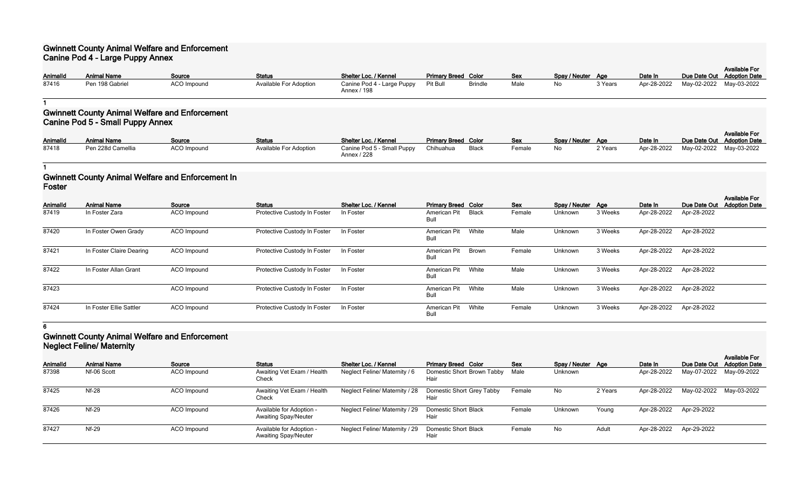### **Gwinnett County Animal Welfare and Enforcement Canine Pod 4 - Large Puppy Annex**

| <b>AnimalId</b> | <b>Animal Name</b> | Source      | <b>Status</b>                 | Shelter Loc. / Kennel                     | <b>Primary Breed Color</b> |                | <b>Sex</b> | Spay / Neuter Age |         | Date In | Due Date Out Adoption Date | <b>Available For</b>                |
|-----------------|--------------------|-------------|-------------------------------|-------------------------------------------|----------------------------|----------------|------------|-------------------|---------|---------|----------------------------|-------------------------------------|
| 87416           | Pen 198 Gabriel    | ACO Impound | <b>Available For Adoption</b> | Canine Pod 4 - Large Puppy<br>Annex / 198 | Pit Bull                   | <b>Brindle</b> | Male       | No                | 3 Years |         |                            | Apr-28-2022 May-02-2022 May-03-2022 |

**1**

### **Gwinnett County Animal Welfare and Enforcement Canine Pod 5 - Small Puppy Annex**

|          | .                  |             |                               |                            |                            |       |            |                   |         |         |                                     |
|----------|--------------------|-------------|-------------------------------|----------------------------|----------------------------|-------|------------|-------------------|---------|---------|-------------------------------------|
|          |                    |             |                               |                            |                            |       |            |                   |         |         | <b>Available For</b>                |
| Animalld | <b>Animal Name</b> | Source      | <b>Status</b>                 | Shelter Loc. / Kennel      | <b>Primary Breed Color</b> |       | <b>Sex</b> | Spay / Neuter Age |         | Date In | Due Date Out Adoption Date          |
| 87418    | Pen 228d Camellia  | ACO Impound | <b>Available For Adoption</b> | Canine Pod 5 - Small Puppy | Chihuahua                  | Black | Female     | No                | 2 Years |         | Apr-28-2022 May-02-2022 May-03-2022 |
|          |                    |             |                               | Annex / 228                |                            |       |            |                   |         |         |                                     |

**1**

# **Gwinnett County Animal Welfare and Enforcement In Foster**

| Animalld | <b>Animal Name</b>       | Source             | <b>Status</b>                | Shelter Loc. / Kennel | <b>Primary Breed Color</b>  |              | Sex    | Spay / Neuter Age |         | Date In     | Due Date Out | <b>Available For</b><br><b>Adoption Date</b> |
|----------|--------------------------|--------------------|------------------------------|-----------------------|-----------------------------|--------------|--------|-------------------|---------|-------------|--------------|----------------------------------------------|
| 87419    | In Foster Zara           | <b>ACO</b> Impound | Protective Custody In Foster | In Foster             | American Pit<br>Bull        | <b>Black</b> | Female | Unknown           | 3 Weeks | Apr-28-2022 | Apr-28-2022  |                                              |
| 87420    | In Foster Owen Grady     | ACO Impound        | Protective Custody In Foster | In Foster             | American Pit<br>Bull        | White        | Male   | Unknown           | 3 Weeks | Apr-28-2022 | Apr-28-2022  |                                              |
| 87421    | In Foster Claire Dearing | ACO Impound        | Protective Custody In Foster | In Foster             | <b>American Pit</b><br>Bull | Brown        | Female | Unknown           | 3 Weeks | Apr-28-2022 | Apr-28-2022  |                                              |
| 87422    | In Foster Allan Grant    | ACO Impound        | Protective Custody In Foster | In Foster             | American Pit<br>Bull        | White        | Male   | Unknown           | 3 Weeks | Apr-28-2022 | Apr-28-2022  |                                              |
| 87423    |                          | <b>ACO</b> Impound | Protective Custody In Foster | In Foster             | <b>American Pit</b><br>Bull | White        | Male   | Unknown           | 3 Weeks | Apr-28-2022 | Apr-28-2022  |                                              |
| 87424    | In Foster Ellie Sattler  | ACO Impound        | Protective Custody In Foster | In Foster             | American Pit<br>Bull        | White        | Female | Unknown           | 3 Weeks | Apr-28-2022 | Apr-28-2022  |                                              |

**6**

# **Gwinnett County Animal Welfare and Enforcement Neglect Feline/ Maternity**

|                 |                    |             |                                                         |                                |                                         |            |                   |         |             |                         | <b>Available For</b>    |
|-----------------|--------------------|-------------|---------------------------------------------------------|--------------------------------|-----------------------------------------|------------|-------------------|---------|-------------|-------------------------|-------------------------|
| <b>AnimalId</b> | <b>Animal Name</b> | Source      | <b>Status</b>                                           | Shelter Loc. / Kennel          | <b>Primary Breed Color</b>              | <b>Sex</b> | Spay / Neuter Age |         | Date In     | Due Date Out            | <b>Adoption Date</b>    |
| 87398           | Nf-06 Scott        | ACO Impound | Awaiting Vet Exam / Health<br>Check                     | Neglect Feline/ Maternity / 6  | Domestic Short Brown Tabby Male<br>Hair |            | Unknown           |         | Apr-28-2022 |                         | May-07-2022 May-09-2022 |
| 87425           | <b>Nf-28</b>       | ACO Impound | Awaiting Vet Exam / Health<br>Check                     | Neglect Feline/ Maternity / 28 | Domestic Short Grey Tabby<br>Hair       | Female     | No                | 2 Years | Apr-28-2022 | May-02-2022 May-03-2022 |                         |
| 87426           | <b>Nf-29</b>       | ACO Impound | Available for Adoption -<br><b>Awaiting Spay/Neuter</b> | Neglect Feline/ Maternity / 29 | Domestic Short Black<br>Hair            | Female     | Unknown           | Young   | Apr-28-2022 | Apr-29-2022             |                         |
| 87427           | Nf-29              | ACO Impound | Available for Adoption -<br><b>Awaiting Spay/Neuter</b> | Neglect Feline/ Maternity / 29 | <b>Domestic Short Black</b><br>Hair     | Female     | No                | Adult   | Apr-28-2022 | Apr-29-2022             |                         |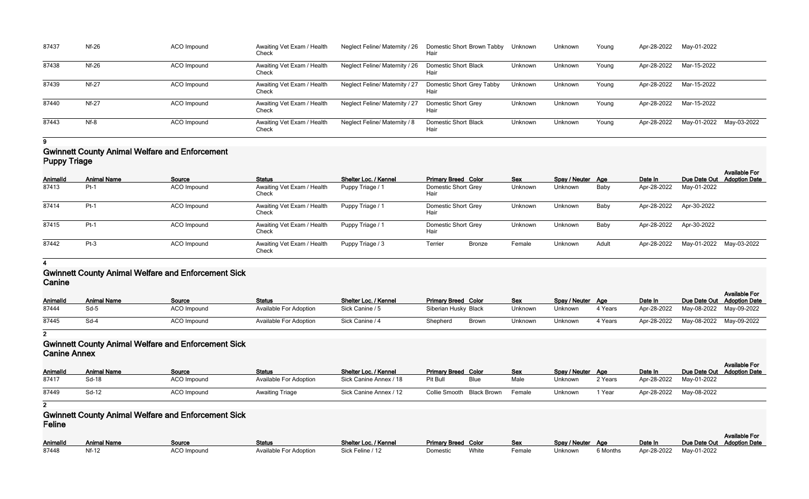| 87437 | $Nf-26$      | ACO Impound | Awaiting Vet Exam / Health<br>Check | Neglect Feline/ Maternity / 26 | Domestic Short Brown Tabby Unknown<br>Hair |         | Unknown | Young | Apr-28-2022 | May-01-2022             |  |
|-------|--------------|-------------|-------------------------------------|--------------------------------|--------------------------------------------|---------|---------|-------|-------------|-------------------------|--|
| 87438 | $Nf-26$      | ACO Impound | Awaiting Vet Exam / Health<br>Check | Neglect Feline/ Maternity / 26 | Domestic Short Black<br>Hair               | Unknown | Unknown | Young | Apr-28-2022 | Mar-15-2022             |  |
| 87439 | <b>Nf-27</b> | ACO Impound | Awaiting Vet Exam / Health<br>Check | Neglect Feline/ Maternity / 27 | Domestic Short Grey Tabby<br>Hair          | Unknown | Unknown | Young | Apr-28-2022 | Mar-15-2022             |  |
| 87440 | <b>Nf-27</b> | ACO Impound | Awaiting Vet Exam / Health<br>Check | Neglect Feline/ Maternity / 27 | <b>Domestic Short Grey</b><br>Hair         | Unknown | Unknown | Young | Apr-28-2022 | Mar-15-2022             |  |
| 87443 | Nf-8         | ACO Impound | Awaiting Vet Exam / Health<br>Check | Neglect Feline/ Maternity / 8  | Domestic Short Black<br>Hair               | Unknown | Unknown | Young | Apr-28-2022 | May-01-2022 May-03-2022 |  |

**9**

### **Gwinnett County Animal Welfare and Enforcement Puppy Triage**

| Animalld | <b>Animal Name</b> | Source      | <b>Status</b>                       | Shelter Loc. / Kennel | <b>Primary Breed Color</b>  | <b>Sex</b> | Spay / Neuter Age |       | Date In     |                         | <b>Available For</b><br>Due Date Out Adoption Date |
|----------|--------------------|-------------|-------------------------------------|-----------------------|-----------------------------|------------|-------------------|-------|-------------|-------------------------|----------------------------------------------------|
| 87413    | $Pt-1$             | ACO Impound | Awaiting Vet Exam / Health<br>Check | Puppy Triage / 1      | Domestic Short Grey<br>Hair | Unknown    | Unknown           | Baby  | Apr-28-2022 | May-01-2022             |                                                    |
| 87414    | $Pt-1$             | ACO Impound | Awaiting Vet Exam / Health<br>Check | Puppy Triage / 1      | Domestic Short Grey<br>Hair | Unknown    | Unknown           | Baby  | Apr-28-2022 | Apr-30-2022             |                                                    |
| 87415    | $Pt-1$             | ACO Impound | Awaiting Vet Exam / Health<br>Check | Puppy Triage / 1      | Domestic Short Grey<br>Hair | Unknown    | Unknown           | Baby  | Apr-28-2022 | Apr-30-2022             |                                                    |
| 87442    | $Pt-3$             | ACO Impound | Awaiting Vet Exam / Health<br>Check | Puppy Triage / 3      | <b>Terrier</b><br>Bronze    | Female     | Unknown           | Adult | Apr-28-2022 | May-01-2022 May-03-2022 |                                                    |

**4**

## **Gwinnett County Animal Welfare and Enforcement Sick Canine**

| AnimalId<br>87444 | Animal Name<br>Sd-5 | Source<br><b>ACO Impound</b> | <b>Status</b><br><b>Available For Adoption</b> | Shelter Loc. / Kennel<br>Sick Canine / 5 | <b>Primary Breed Color</b><br>Siberian Husky Black |       | <b>Sex</b><br>Jnknown | Spay / Neuter Age<br>Unknown | 4 Years | Date In<br>Apr-28-2022 May-08-2022 May-09-2022 |             | <b>Available For</b><br>Due Date Out Adoption Date |
|-------------------|---------------------|------------------------------|------------------------------------------------|------------------------------------------|----------------------------------------------------|-------|-----------------------|------------------------------|---------|------------------------------------------------|-------------|----------------------------------------------------|
| 87445             | Sd-4                | <b>ACO Impound</b>           | <b>Available For Adoption</b>                  | Sick Canine / 4                          | Shepherd                                           | Brown | Jnknown               | Unknown                      | 4 Years | Apr-28-2022                                    | May-08-2022 | May-09-2022                                        |

**2**

## **Gwinnett County Animal Welfare and Enforcement Sick Canine Annex**

| VUIIIIV / VIIIVA |                    |                    |                               |                        |                            |             |        |                   |         |             |                            |                      |
|------------------|--------------------|--------------------|-------------------------------|------------------------|----------------------------|-------------|--------|-------------------|---------|-------------|----------------------------|----------------------|
| <b>AnimalId</b>  | <b>Animal Name</b> | Source             | <b>Status</b>                 | Shelter Loc. / Kennel  | <b>Primary Breed Color</b> |             | Sex    | Spay / Neuter Age |         | Date In     | Due Date Out Adoption Date | <b>Available For</b> |
| 87417            | Sd-18              | <b>ACO Impound</b> | <b>Available For Adoption</b> | Sick Canine Annex / 18 | Pit Bull                   | <b>Blue</b> | Male   | Unknown           | 2 Years | Apr-28-2022 | May-01-2022                |                      |
| 87449            | Sd-12              | <b>ACO Impound</b> | <b>Awaiting Triage</b>        | Sick Canine Annex / 12 | Collie Smooth Black Brown  |             | Female | Unknown           | 1 Year  | Apr-28-2022 | May-08-2022                |                      |

**2**

## **Gwinnett County Animal Welfare and Enforcement Sick Feline**

|                 |             |                    |                        |                       |                            |       |        |                   |          |         |                            | <b>Available For</b> |
|-----------------|-------------|--------------------|------------------------|-----------------------|----------------------------|-------|--------|-------------------|----------|---------|----------------------------|----------------------|
| <b>AnimalId</b> | Animal Name | <b>Source</b>      | <b>Status</b>          | Shelter Loc. / Kennel | <b>Primary Breed Color</b> |       | Sex    | Spay / Neuter Age |          | Date In | Due Date Out Adoption Date |                      |
| 87448           |             | <b>ACO Impound</b> | Available For Adoption | Sick Feline / 12      | Domestic                   | White | Female | Unknown           | 6 Months |         | Apr-28-2022 May-01-2022    |                      |